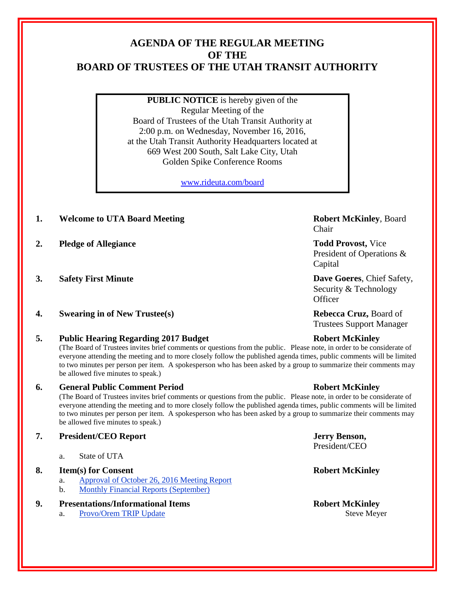## **AGENDA OF THE REGULAR MEETING OF THE BOARD OF TRUSTEES OF THE UTAH TRANSIT AUTHORITY**

**PUBLIC NOTICE** is hereby given of the Regular Meeting of the Board of Trustees of the Utah Transit Authority at 2:00 p.m. on Wednesday, November 16, 2016, at the Utah Transit Authority Headquarters located at 669 West 200 South, Salt Lake City, Utah Golden Spike Conference Rooms

[www.rideuta.com/board](http://www.rideuta.com/board)

- **1. Welcome to UTA Board Meeting <b>Robert McKinley**, Board
- **2. Pledge of Allegiance Todd Provost,** Vice
- 
- **4. Swearing in of New Trustee(s) Rebecca Cruz,** Board of

## **5. Public Hearing Regarding 2017 Budget Robert McKinley**

(The Board of Trustees invites brief comments or questions from the public. Please note, in order to be considerate of everyone attending the meeting and to more closely follow the published agenda times, public comments will be limited to two minutes per person per item. A spokesperson who has been asked by a group to summarize their comments may be allowed five minutes to speak.)

## **6. General Public Comment Period Robert McKinley**

(The Board of Trustees invites brief comments or questions from the public. Please note, in order to be considerate of everyone attending the meeting and to more closely follow the published agenda times, public comments will be limited to two minutes per person per item. A spokesperson who has been asked by a group to summarize their comments may be allowed five minutes to speak.)

## **7. President/CEO Report Jerry Benson,**

a. State of UTA

## **8. Item(s) for Consent Robert McKinley**

- a. Approval of October 26, 2016 Meeting Report
- b. Monthly Financial Reports (September)

## **9. Presentations/Informational Items Robert McKinley**

a. Provo/Orem TRIP Update Steve Meyer

# Chair

President of Operations & Capital

**3. Safety First Minute Dave Goeres**, Chief Safety, Security & Technology **Officer** 

Trustees Support Manager

President/CEO